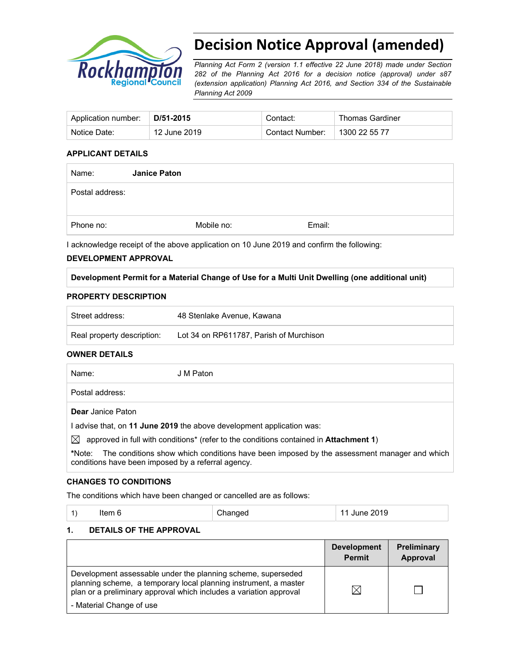

# **Decision Notice Approval (amended)**

*Planning Act Form 2 (version 1.1 effective 22 June 2018) made under Section 282 of the Planning Act 2016 for a decision notice (approval) under s87 (extension application) Planning Act 2016, and Section 334 of the Sustainable Planning Act 2009*

| Application number: | D/51-2015    | Contact:        | <b>Thomas Gardiner</b> |
|---------------------|--------------|-----------------|------------------------|
| Notice Date:        | 12 June 2019 | Contact Number: | 1300 22 55 77          |

## **APPLICANT DETAILS**

| Name:           | <b>Janice Paton</b> |            |        |  |
|-----------------|---------------------|------------|--------|--|
| Postal address: |                     |            |        |  |
|                 |                     |            |        |  |
| Phone no:       |                     | Mobile no: | Email: |  |

I acknowledge receipt of the above application on 10 June 2019 and confirm the following:

#### **DEVELOPMENT APPROVAL**

#### **Development Permit for a Material Change of Use for a Multi Unit Dwelling (one additional unit)**

#### **PROPERTY DESCRIPTION**

| Street address:            | 48 Stenlake Avenue, Kawana              |
|----------------------------|-----------------------------------------|
| Real property description: | Lot 34 on RP611787. Parish of Murchison |

#### **OWNER DETAILS**

| Name:                    | J M Paton |
|--------------------------|-----------|
| Postal address:          |           |
| <b>Dear</b> Janice Paton |           |

I advise that, on **11 June 2019** the above development application was:

 $\boxtimes$  approved in full with conditions<sup>\*</sup> (refer to the conditions contained in **Attachment 1**)

**\***Note:The conditions show which conditions have been imposed by the assessment manager and which conditions have been imposed by a referral agency.

#### **CHANGES TO CONDITIONS**

The conditions which have been changed or cancelled are as follows:

#### **1. DETAILS OF THE APPROVAL**

|                                                                                                                                                                                                                                    | <b>Development</b><br><b>Permit</b> | Preliminary<br>Approval |
|------------------------------------------------------------------------------------------------------------------------------------------------------------------------------------------------------------------------------------|-------------------------------------|-------------------------|
| Development assessable under the planning scheme, superseded<br>planning scheme, a temporary local planning instrument, a master<br>plan or a preliminary approval which includes a variation approval<br>- Material Change of use | ⋉                                   |                         |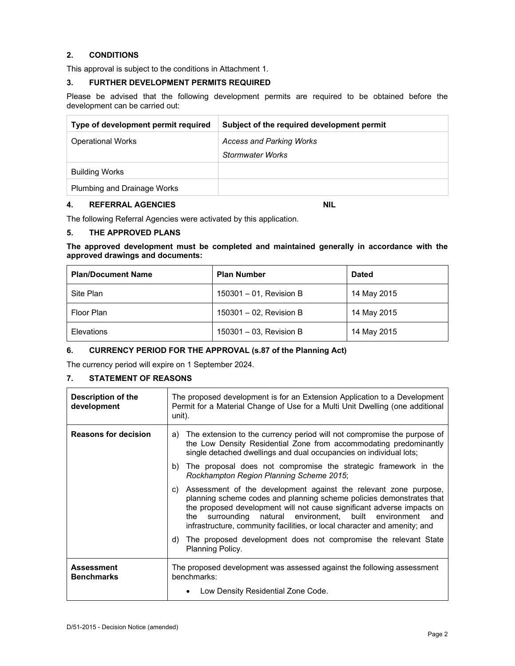## **2. CONDITIONS**

This approval is subject to the conditions in Attachment 1.

#### **3. FURTHER DEVELOPMENT PERMITS REQUIRED**

Please be advised that the following development permits are required to be obtained before the development can be carried out:

| Type of development permit required | Subject of the required development permit |
|-------------------------------------|--------------------------------------------|
| <b>Operational Works</b>            | <b>Access and Parking Works</b>            |
|                                     | <b>Stormwater Works</b>                    |
| <b>Building Works</b>               |                                            |
| Plumbing and Drainage Works         |                                            |

#### **4. REFERRAL AGENCIES NIL**

The following Referral Agencies were activated by this application.

## **5. THE APPROVED PLANS**

**The approved development must be completed and maintained generally in accordance with the approved drawings and documents:** 

| <b>Plan/Document Name</b> | <b>Plan Number</b>      | <b>Dated</b> |
|---------------------------|-------------------------|--------------|
| Site Plan                 | 150301 - 01, Revision B | 14 May 2015  |
| Floor Plan                | 150301 - 02, Revision B | 14 May 2015  |
| Elevations                | 150301 - 03, Revision B | 14 May 2015  |

#### **6. CURRENCY PERIOD FOR THE APPROVAL (s.87 of the Planning Act)**

The currency period will expire on 1 September 2024.

#### **7. STATEMENT OF REASONS**

| Description of the<br>development      | The proposed development is for an Extension Application to a Development<br>Permit for a Material Change of Use for a Multi Unit Dwelling (one additional<br>unit).                                                                                                                                                                                                   |  |
|----------------------------------------|------------------------------------------------------------------------------------------------------------------------------------------------------------------------------------------------------------------------------------------------------------------------------------------------------------------------------------------------------------------------|--|
| <b>Reasons for decision</b>            | The extension to the currency period will not compromise the purpose of<br>a)<br>the Low Density Residential Zone from accommodating predominantly<br>single detached dwellings and dual occupancies on individual lots;                                                                                                                                               |  |
|                                        | The proposal does not compromise the strategic framework in the<br>b)<br>Rockhampton Region Planning Scheme 2015;                                                                                                                                                                                                                                                      |  |
|                                        | Assessment of the development against the relevant zone purpose,<br>C)<br>planning scheme codes and planning scheme policies demonstrates that<br>the proposed development will not cause significant adverse impacts on<br>surrounding natural environment, built environment and<br>the<br>infrastructure, community facilities, or local character and amenity; and |  |
|                                        | d) The proposed development does not compromise the relevant State<br>Planning Policy.                                                                                                                                                                                                                                                                                 |  |
| <b>Assessment</b><br><b>Benchmarks</b> | The proposed development was assessed against the following assessment<br>benchmarks:                                                                                                                                                                                                                                                                                  |  |
|                                        | Low Density Residential Zone Code.                                                                                                                                                                                                                                                                                                                                     |  |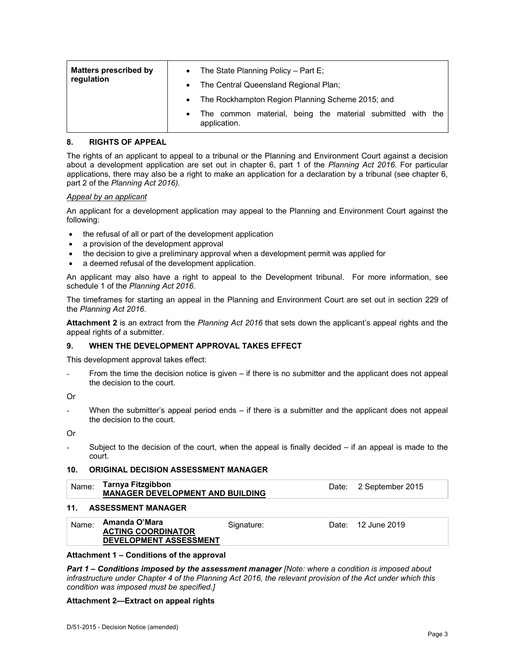| <b>Matters prescribed by</b> | $\bullet$ | The State Planning Policy - Part E;                                        |  |  |
|------------------------------|-----------|----------------------------------------------------------------------------|--|--|
| regulation                   |           | • The Central Queensland Regional Plan;                                    |  |  |
|                              |           | • The Rockhampton Region Planning Scheme 2015; and                         |  |  |
|                              | $\bullet$ | The common material, being the material submitted with the<br>application. |  |  |

#### **8. RIGHTS OF APPEAL**

The rights of an applicant to appeal to a tribunal or the Planning and Environment Court against a decision about a development application are set out in chapter 6, part 1 of the *Planning Act 2016*. For particular applications, there may also be a right to make an application for a declaration by a tribunal (see chapter 6, part 2 of the *Planning Act 2016).*

#### *Appeal by an applicant*

An applicant for a development application may appeal to the Planning and Environment Court against the following:

- the refusal of all or part of the development application
- a provision of the development approval
- the decision to give a preliminary approval when a development permit was applied for
- a deemed refusal of the development application.

An applicant may also have a right to appeal to the Development tribunal. For more information, see schedule 1 of the *Planning Act 2016*.

The timeframes for starting an appeal in the Planning and Environment Court are set out in section 229 of the *Planning Act 2016*.

**Attachment 2** is an extract from the *Planning Act 2016* that sets down the applicant's appeal rights and the appeal rights of a submitter.

#### **9. WHEN THE DEVELOPMENT APPROVAL TAKES EFFECT**

This development approval takes effect:

From the time the decision notice is given – if there is no submitter and the applicant does not appeal the decision to the court.

Or

When the submitter's appeal period ends  $-$  if there is a submitter and the applicant does not appeal the decision to the court.

Or

Subject to the decision of the court, when the appeal is finally decided  $-$  if an appeal is made to the court.

#### **10. ORIGINAL DECISION ASSESSMENT MANAGER**

| Name: | Tarnya Fitzgibbon<br><b>MANAGER DEVELOPMENT AND BUILDING</b>                |            | Date: 2 September 2015 |
|-------|-----------------------------------------------------------------------------|------------|------------------------|
| 11.   | <b>ASSESSMENT MANAGER</b>                                                   |            |                        |
| Name: | Amanda O'Mara<br><b>ACTING COORDINATOR</b><br><b>DEVELOPMENT ASSESSMENT</b> | Signature: | Date: 12 June 2019     |

#### **Attachment 1 – Conditions of the approval**

*Part 1* **–** *Conditions imposed by the assessment manager [Note: where a condition is imposed about infrastructure under Chapter 4 of the Planning Act 2016, the relevant provision of the Act under which this condition was imposed must be specified.]*

#### **Attachment 2—Extract on appeal rights**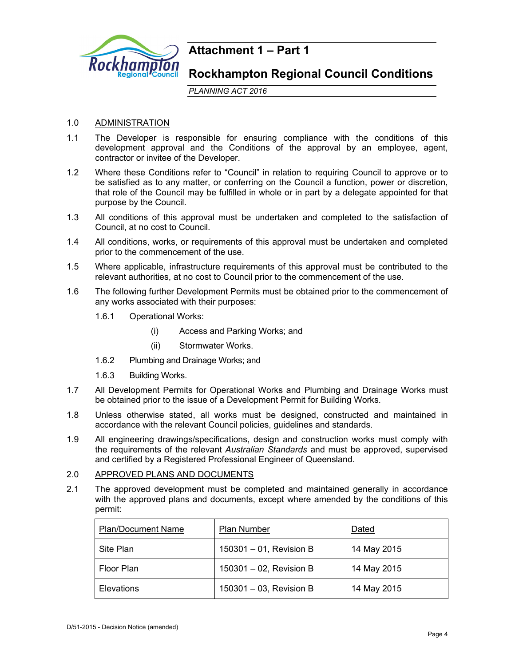

## **Attachment 1 – Part 1**

## **Rockhampton Regional Council Conditions**

*PLANNING ACT 2016*

## 1.0 ADMINISTRATION

- 1.1 The Developer is responsible for ensuring compliance with the conditions of this development approval and the Conditions of the approval by an employee, agent, contractor or invitee of the Developer.
- 1.2 Where these Conditions refer to "Council" in relation to requiring Council to approve or to be satisfied as to any matter, or conferring on the Council a function, power or discretion, that role of the Council may be fulfilled in whole or in part by a delegate appointed for that purpose by the Council.
- 1.3 All conditions of this approval must be undertaken and completed to the satisfaction of Council, at no cost to Council.
- 1.4 All conditions, works, or requirements of this approval must be undertaken and completed prior to the commencement of the use.
- 1.5 Where applicable, infrastructure requirements of this approval must be contributed to the relevant authorities, at no cost to Council prior to the commencement of the use.
- 1.6 The following further Development Permits must be obtained prior to the commencement of any works associated with their purposes:
	- 1.6.1 Operational Works:
		- (i) Access and Parking Works; and
		- (ii) Stormwater Works.
	- 1.6.2 Plumbing and Drainage Works; and
	- 1.6.3 Building Works.
- 1.7 All Development Permits for Operational Works and Plumbing and Drainage Works must be obtained prior to the issue of a Development Permit for Building Works.
- 1.8 Unless otherwise stated, all works must be designed, constructed and maintained in accordance with the relevant Council policies, guidelines and standards.
- 1.9 All engineering drawings/specifications, design and construction works must comply with the requirements of the relevant *Australian Standards* and must be approved, supervised and certified by a Registered Professional Engineer of Queensland.

## 2.0 APPROVED PLANS AND DOCUMENTS

2.1 The approved development must be completed and maintained generally in accordance with the approved plans and documents, except where amended by the conditions of this permit:

| <b>Plan/Document Name</b> | Plan Number                | Dated       |
|---------------------------|----------------------------|-------------|
| Site Plan                 | $150301 - 01$ , Revision B | 14 May 2015 |
| Floor Plan                | $150301 - 02$ , Revision B | 14 May 2015 |
| Elevations                | 150301 - 03, Revision B    | 14 May 2015 |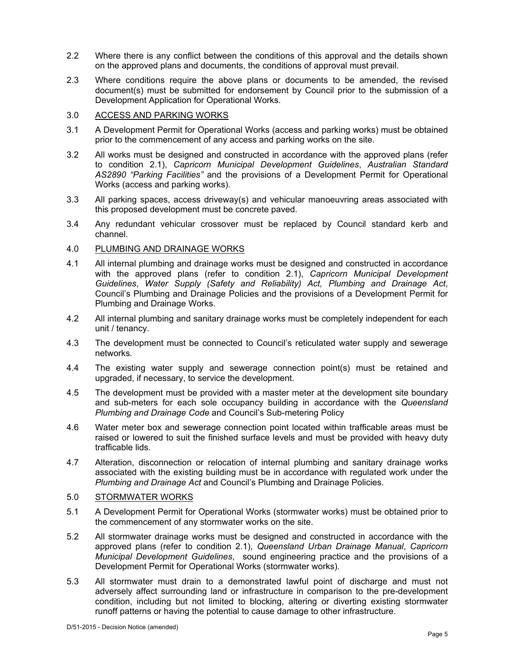- 2.2 Where there is any conflict between the conditions of this approval and the details shown on the approved plans and documents, the conditions of approval must prevail.
- 2.3 Where conditions require the above plans or documents to be amended, the revised document(s) must be submitted for endorsement by Council prior to the submission of a Development Application for Operational Works.

#### 3.0 ACCESS AND PARKING WORKS

- 3.1 A Development Permit for Operational Works (access and parking works) must be obtained prior to the commencement of any access and parking works on the site.
- 3.2 All works must be designed and constructed in accordance with the approved plans (refer to condition 2.1), *Capricorn Municipal Development Guidelines*, *Australian Standard AS2890 "Parking Facilities"* and the provisions of a Development Permit for Operational Works (access and parking works).
- 3.3 All parking spaces, access driveway(s) and vehicular manoeuvring areas associated with this proposed development must be concrete paved.
- 3.4 Any redundant vehicular crossover must be replaced by Council standard kerb and channel.

#### 4.0 PLUMBING AND DRAINAGE WORKS

- 4.1 All internal plumbing and drainage works must be designed and constructed in accordance with the approved plans (refer to condition 2.1), *Capricorn Municipal Development Guidelines*, *Water Supply (Safety and Reliability) Act, Plumbing and Drainage Act*, Council's Plumbing and Drainage Policies and the provisions of a Development Permit for Plumbing and Drainage Works.
- 4.2 All internal plumbing and sanitary drainage works must be completely independent for each unit / tenancy.
- 4.3 The development must be connected to Council's reticulated water supply and sewerage networks*.*
- 4.4 The existing water supply and sewerage connection point(s) must be retained and upgraded, if necessary, to service the development.
- 4.5 The development must be provided with a master meter at the development site boundary and sub-meters for each sole occupancy building in accordance with the *Queensland Plumbing and Drainage Code* and Council's Sub-metering Policy
- 4.6 Water meter box and sewerage connection point located within trafficable areas must be raised or lowered to suit the finished surface levels and must be provided with heavy duty trafficable lids.
- 4.7 Alteration, disconnection or relocation of internal plumbing and sanitary drainage works associated with the existing building must be in accordance with regulated work under the *Plumbing and Drainage Act* and Council's Plumbing and Drainage Policies.

#### 5.0 STORMWATER WORKS

- 5.1 A Development Permit for Operational Works (stormwater works) must be obtained prior to the commencement of any stormwater works on the site.
- 5.2 All stormwater drainage works must be designed and constructed in accordance with the approved plans (refer to condition 2.1), *Queensland Urban Drainage Manual*, *Capricorn Municipal Development Guidelines*, sound engineering practice and the provisions of a Development Permit for Operational Works (stormwater works).
- 5.3 All stormwater must drain to a demonstrated lawful point of discharge and must not adversely affect surrounding land or infrastructure in comparison to the pre-development condition, including but not limited to blocking, altering or diverting existing stormwater runoff patterns or having the potential to cause damage to other infrastructure.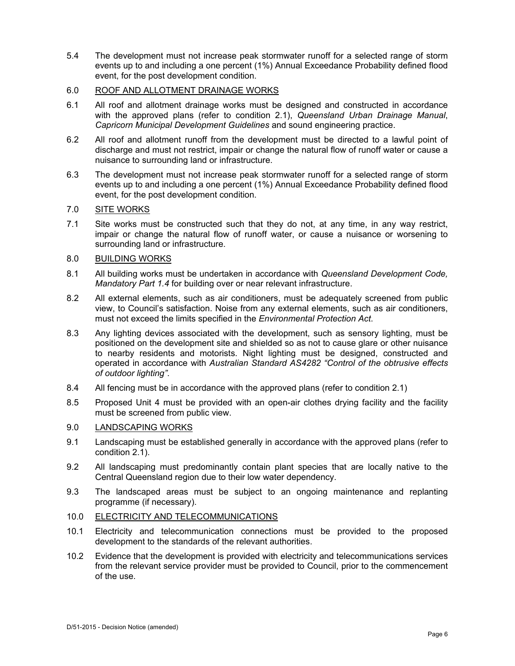5.4 The development must not increase peak stormwater runoff for a selected range of storm events up to and including a one percent (1%) Annual Exceedance Probability defined flood event, for the post development condition.

## 6.0 ROOF AND ALLOTMENT DRAINAGE WORKS

- 6.1 All roof and allotment drainage works must be designed and constructed in accordance with the approved plans (refer to condition 2.1), *Queensland Urban Drainage Manual*, *Capricorn Municipal Development Guidelines* and sound engineering practice.
- 6.2 All roof and allotment runoff from the development must be directed to a lawful point of discharge and must not restrict, impair or change the natural flow of runoff water or cause a nuisance to surrounding land or infrastructure.
- 6.3 The development must not increase peak stormwater runoff for a selected range of storm events up to and including a one percent (1%) Annual Exceedance Probability defined flood event, for the post development condition.

## 7.0 SITE WORKS

7.1 Site works must be constructed such that they do not, at any time, in any way restrict, impair or change the natural flow of runoff water, or cause a nuisance or worsening to surrounding land or infrastructure.

#### 8.0 BUILDING WORKS

- 8.1 All building works must be undertaken in accordance with *Queensland Development Code, Mandatory Part 1.4* for building over or near relevant infrastructure.
- 8.2 All external elements, such as air conditioners, must be adequately screened from public view, to Council's satisfaction. Noise from any external elements, such as air conditioners, must not exceed the limits specified in the *Environmental Protection Act*.
- 8.3 Any lighting devices associated with the development, such as sensory lighting, must be positioned on the development site and shielded so as not to cause glare or other nuisance to nearby residents and motorists. Night lighting must be designed, constructed and operated in accordance with *Australian Standard AS4282 "Control of the obtrusive effects of outdoor lighting"*.
- 8.4 All fencing must be in accordance with the approved plans (refer to condition 2.1)
- 8.5 Proposed Unit 4 must be provided with an open-air clothes drying facility and the facility must be screened from public view.

## 9.0 LANDSCAPING WORKS

- 9.1 Landscaping must be established generally in accordance with the approved plans (refer to condition 2.1).
- 9.2 All landscaping must predominantly contain plant species that are locally native to the Central Queensland region due to their low water dependency.
- 9.3 The landscaped areas must be subject to an ongoing maintenance and replanting programme (if necessary).

#### 10.0 ELECTRICITY AND TELECOMMUNICATIONS

- 10.1 Electricity and telecommunication connections must be provided to the proposed development to the standards of the relevant authorities.
- 10.2 Evidence that the development is provided with electricity and telecommunications services from the relevant service provider must be provided to Council, prior to the commencement of the use.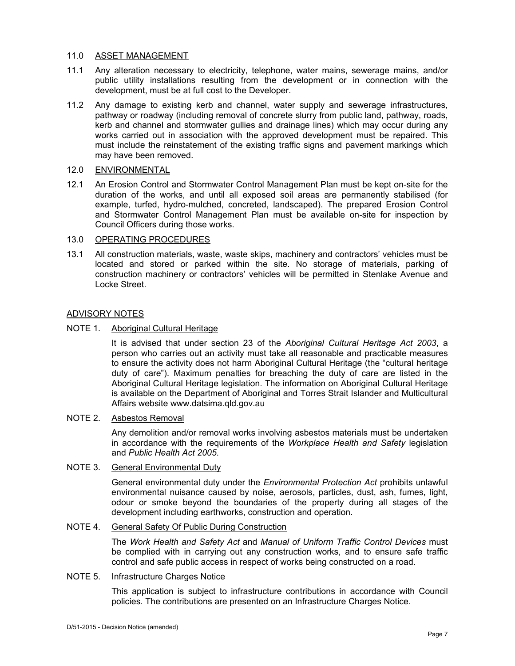#### 11.0 ASSET MANAGEMENT

- 11.1 Any alteration necessary to electricity, telephone, water mains, sewerage mains, and/or public utility installations resulting from the development or in connection with the development, must be at full cost to the Developer.
- 11.2 Any damage to existing kerb and channel, water supply and sewerage infrastructures, pathway or roadway (including removal of concrete slurry from public land, pathway, roads, kerb and channel and stormwater gullies and drainage lines) which may occur during any works carried out in association with the approved development must be repaired. This must include the reinstatement of the existing traffic signs and pavement markings which may have been removed.

## 12.0 ENVIRONMENTAL

12.1 An Erosion Control and Stormwater Control Management Plan must be kept on-site for the duration of the works, and until all exposed soil areas are permanently stabilised (for example, turfed, hydro-mulched, concreted, landscaped). The prepared Erosion Control and Stormwater Control Management Plan must be available on-site for inspection by Council Officers during those works.

## 13.0 OPERATING PROCEDURES

13.1 All construction materials, waste, waste skips, machinery and contractors' vehicles must be located and stored or parked within the site. No storage of materials, parking of construction machinery or contractors' vehicles will be permitted in Stenlake Avenue and Locke Street.

## ADVISORY NOTES

## NOTE 1. Aboriginal Cultural Heritage

It is advised that under section 23 of the *Aboriginal Cultural Heritage Act 2003*, a person who carries out an activity must take all reasonable and practicable measures to ensure the activity does not harm Aboriginal Cultural Heritage (the "cultural heritage duty of care"). Maximum penalties for breaching the duty of care are listed in the Aboriginal Cultural Heritage legislation. The information on Aboriginal Cultural Heritage is available on the Department of Aboriginal and Torres Strait Islander and Multicultural Affairs website www.datsima.qld.gov.au

### NOTE 2. Asbestos Removal

Any demolition and/or removal works involving asbestos materials must be undertaken in accordance with the requirements of the *Workplace Health and Safety* legislation and *Public Health Act 2005*.

## NOTE 3. General Environmental Duty

General environmental duty under the *Environmental Protection Act* prohibits unlawful environmental nuisance caused by noise, aerosols, particles, dust, ash, fumes, light, odour or smoke beyond the boundaries of the property during all stages of the development including earthworks, construction and operation.

## NOTE 4. General Safety Of Public During Construction

The *Work Health and Safety Act* and *Manual of Uniform Traffic Control Devices* must be complied with in carrying out any construction works, and to ensure safe traffic control and safe public access in respect of works being constructed on a road.

#### NOTE 5. Infrastructure Charges Notice

This application is subject to infrastructure contributions in accordance with Council policies. The contributions are presented on an Infrastructure Charges Notice.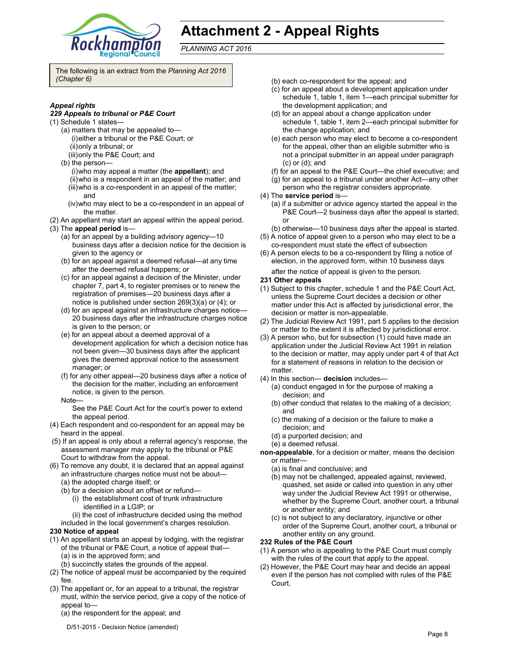

# **Attachment 2 - Appeal Rights**

*PLANNING ACT 2016*

The following is an extract from the *Planning Act 2016 (Chapter 6)* 

#### *Appeal rights*

#### *229 Appeals to tribunal or P&E Court*

- (1) Schedule 1 states—
	- (a) matters that may be appealed to— (i) either a tribunal or the P&E Court; or (ii) only a tribunal; or
	- (iii) only the P&E Court; and
	- (b) the person—
		- (i) who may appeal a matter (the **appellant**); and
		- (ii) who is a respondent in an appeal of the matter; and (iii) who is a co-respondent in an appeal of the matter; and
		- (iv) who may elect to be a co-respondent in an appeal of the matter.
- (2) An appellant may start an appeal within the appeal period. (3) The **appeal period** is—
- (a) for an appeal by a building advisory agency—10
	- business days after a decision notice for the decision is given to the agency or
	- (b) for an appeal against a deemed refusal—at any time after the deemed refusal happens; or
	- (c) for an appeal against a decision of the Minister, under chapter 7, part 4, to register premises or to renew the registration of premises—20 business days after a notice is published under section 269(3)(a) or (4); or
	- (d) for an appeal against an infrastructure charges notice— 20 business days after the infrastructure charges notice is given to the person; or
	- (e) for an appeal about a deemed approval of a development application for which a decision notice has not been given—30 business days after the applicant gives the deemed approval notice to the assessment manager; or
	- (f) for any other appeal—20 business days after a notice of the decision for the matter, including an enforcement notice, is given to the person.
	- Note—

See the P&E Court Act for the court's power to extend the appeal period.

- (4) Each respondent and co-respondent for an appeal may be heard in the appeal.
- (5) If an appeal is only about a referral agency's response, the assessment manager may apply to the tribunal or P&E Court to withdraw from the appeal.
- (6) To remove any doubt, it is declared that an appeal against an infrastructure charges notice must not be about—
	- (a) the adopted charge itself; or
	- (b) for a decision about an offset or refund—
		- (i) the establishment cost of trunk infrastructure identified in a LGIP; or

(ii) the cost of infrastructure decided using the method included in the local government's charges resolution.

#### **230 Notice of appeal**

- (1) An appellant starts an appeal by lodging, with the registrar of the tribunal or P&E Court, a notice of appeal that— (a) is in the approved form; and
	- (b) succinctly states the grounds of the appeal.
- (2) The notice of appeal must be accompanied by the required fee.
- (3) The appellant or, for an appeal to a tribunal, the registrar must, within the service period, give a copy of the notice of appeal to—
	- (a) the respondent for the appeal; and
	- D/51-2015 Decision Notice (amended)
- (b) each co-respondent for the appeal; and
- (c) for an appeal about a development application under schedule 1, table 1, item 1—each principal submitter for the development application; and
- (d) for an appeal about a change application under schedule 1, table 1, item 2—each principal submitter for the change application; and
- (e) each person who may elect to become a co-respondent for the appeal, other than an eligible submitter who is not a principal submitter in an appeal under paragraph (c) or (d); and
- (f) for an appeal to the P&E Court—the chief executive; and
- (g) for an appeal to a tribunal under another Act—any other
- person who the registrar considers appropriate.
- (4) The **service period** is—
	- (a) if a submitter or advice agency started the appeal in the P&E Court—2 business days after the appeal is started; or
	- (b) otherwise—10 business days after the appeal is started.
- (5) A notice of appeal given to a person who may elect to be a co-respondent must state the effect of subsection
- (6) A person elects to be a co-respondent by filing a notice of election, in the approved form, within 10 business days

after the notice of appeal is given to the person*.*

- **231 Other appeals**
- (1) Subject to this chapter, schedule 1 and the P&E Court Act, unless the Supreme Court decides a decision or other matter under this Act is affected by jurisdictional error, the decision or matter is non-appealable.
- (2) The Judicial Review Act 1991, part 5 applies to the decision or matter to the extent it is affected by jurisdictional error.
- (3) A person who, but for subsection (1) could have made an application under the Judicial Review Act 1991 in relation to the decision or matter, may apply under part 4 of that Act for a statement of reasons in relation to the decision or matter.
- (4) In this section— **decision** includes—
	- (a) conduct engaged in for the purpose of making a decision; and
	- (b) other conduct that relates to the making of a decision; and
	- (c) the making of a decision or the failure to make a decision; and
	- (d) a purported decision; and
	- (e) a deemed refusal.
- **non-appealable**, for a decision or matter, means the decision or matter—
	- (a) is final and conclusive; and
	- (b) may not be challenged, appealed against, reviewed, quashed, set aside or called into question in any other way under the Judicial Review Act 1991 or otherwise, whether by the Supreme Court, another court, a tribunal or another entity; and
	- (c) is not subject to any declaratory, injunctive or other order of the Supreme Court, another court, a tribunal or another entity on any ground.

#### **232 Rules of the P&E Court**

- (1) A person who is appealing to the P&E Court must comply with the rules of the court that apply to the appeal.
- (2) However, the P&E Court may hear and decide an appeal even if the person has not complied with rules of the P&E Court.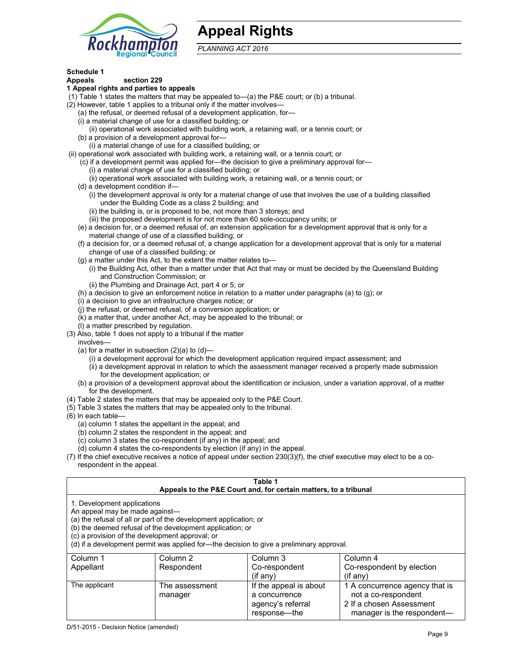

# **Appeal Rights**

*PLANNING ACT 2016*

## **Schedule 1**

#### **Appeals section 229 1 Appeal rights and parties to appeals**

- (1) Table 1 states the matters that may be appealed to—(a) the P&E court; or (b) a tribunal.
- (2) However, table 1 applies to a tribunal only if the matter involves—
	- (a) the refusal, or deemed refusal of a development application, for—
	- (i) a material change of use for a classified building; or
	- (ii) operational work associated with building work, a retaining wall, or a tennis court; or
	- (b) a provision of a development approval for—
	- (i) a material change of use for a classified building; or
- (ii) operational work associated with building work, a retaining wall, or a tennis court; or
	- (c) if a development permit was applied for—the decision to give a preliminary approval for—
		- (i) a material change of use for a classified building; or
		- (ii) operational work associated with building work, a retaining wall, or a tennis court; or
	- (d) a development condition if—
		- (i) the development approval is only for a material change of use that involves the use of a building classified under the Building Code as a class 2 building; and
		- (ii) the building is, or is proposed to be, not more than 3 storeys; and
		- (iii) the proposed development is for not more than 60 sole-occupancy units; or
	- (e) a decision for, or a deemed refusal of, an extension application for a development approval that is only for a material change of use of a classified building; or
	- (f) a decision for, or a deemed refusal of, a change application for a development approval that is only for a material change of use of a classified building; or
	- (g) a matter under this Act, to the extent the matter relates to—
		- (i) the Building Act, other than a matter under that Act that may or must be decided by the Queensland Building and Construction Commission; or
		- (ii) the Plumbing and Drainage Act, part 4 or 5; or
	- (h) a decision to give an enforcement notice in relation to a matter under paragraphs (a) to (g); or
	- (i) a decision to give an infrastructure charges notice; or
	- (j) the refusal, or deemed refusal, of a conversion application; or
	- (k) a matter that, under another Act, may be appealed to the tribunal; or
	- (l) a matter prescribed by regulation.
- (3) Also, table 1 does not apply to a tribunal if the matter
- involves—
	- (a) for a matter in subsection  $(2)(a)$  to  $(d)$ 
		- (i) a development approval for which the development application required impact assessment; and
		- (ii) a development approval in relation to which the assessment manager received a properly made submission for the development application; or
	- (b) a provision of a development approval about the identification or inclusion, under a variation approval, of a matter for the development.
- (4) Table 2 states the matters that may be appealed only to the P&E Court.
- (5) Table 3 states the matters that may be appealed only to the tribunal.
- (6) In each table—
	- (a) column 1 states the appellant in the appeal; and
	- (b) column 2 states the respondent in the appeal; and
	- (c) column 3 states the co-respondent (if any) in the appeal; and
	- (d) column 4 states the co-respondents by election (if any) in the appeal.
- (7) If the chief executive receives a notice of appeal under section 230(3)(f), the chief executive may elect to be a corespondent in the appeal.

| Table 1<br>Appeals to the P&E Court and, for certain matters, to a tribunal                                                                                                                                                                                                                                                                    |                |                        |                                |
|------------------------------------------------------------------------------------------------------------------------------------------------------------------------------------------------------------------------------------------------------------------------------------------------------------------------------------------------|----------------|------------------------|--------------------------------|
| 1. Development applications<br>An appeal may be made against-<br>(a) the refusal of all or part of the development application; or<br>(b) the deemed refusal of the development application; or<br>(c) a provision of the development approval; or<br>(d) if a development permit was applied for-the decision to give a preliminary approval. |                |                        |                                |
| Column 1                                                                                                                                                                                                                                                                                                                                       | Column 2       | Column 3               | Column 4                       |
| Appellant                                                                                                                                                                                                                                                                                                                                      | Respondent     | Co-respondent          | Co-respondent by election      |
|                                                                                                                                                                                                                                                                                                                                                |                | $($ if any $)$         | $(if$ any)                     |
| The applicant                                                                                                                                                                                                                                                                                                                                  | The assessment | If the appeal is about | 1 A concurrence agency that is |
|                                                                                                                                                                                                                                                                                                                                                | manager        | a concurrence          | not a co-respondent            |
|                                                                                                                                                                                                                                                                                                                                                |                | agency's referral      | 2 If a chosen Assessment       |

response—the

manager is the respondent-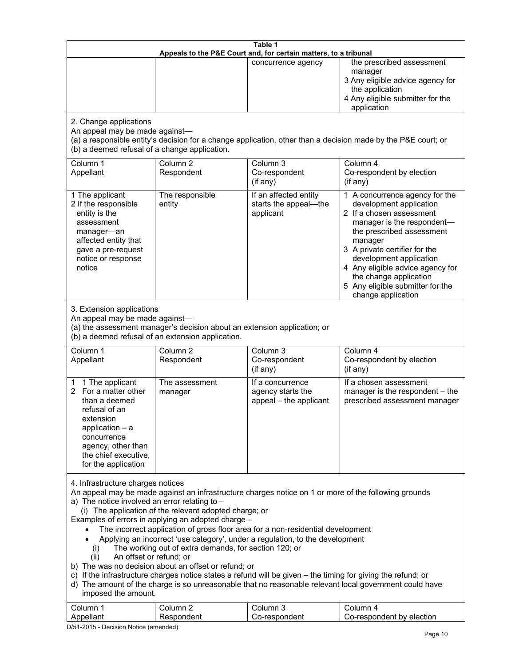| 2. Change applications<br>An appeal may be made against-<br>(b) a deemed refusal of a change application.<br>Column 1                                                                                                                                                                                                                                                                                                                                                                                                                                                                                                                                                                                                                                                                                                                                                                                                                                  | Column <sub>2</sub><br>Respondent | Appeals to the P&E Court and, for certain matters, to a tribunal<br>concurrence agency | the prescribed assessment<br>manager<br>3 Any eligible advice agency for<br>the application<br>4 Any eligible submitter for the<br>application<br>(a) a responsible entity's decision for a change application, other than a decision made by the P&E court; or                                                                                 |
|--------------------------------------------------------------------------------------------------------------------------------------------------------------------------------------------------------------------------------------------------------------------------------------------------------------------------------------------------------------------------------------------------------------------------------------------------------------------------------------------------------------------------------------------------------------------------------------------------------------------------------------------------------------------------------------------------------------------------------------------------------------------------------------------------------------------------------------------------------------------------------------------------------------------------------------------------------|-----------------------------------|----------------------------------------------------------------------------------------|-------------------------------------------------------------------------------------------------------------------------------------------------------------------------------------------------------------------------------------------------------------------------------------------------------------------------------------------------|
|                                                                                                                                                                                                                                                                                                                                                                                                                                                                                                                                                                                                                                                                                                                                                                                                                                                                                                                                                        |                                   |                                                                                        |                                                                                                                                                                                                                                                                                                                                                 |
|                                                                                                                                                                                                                                                                                                                                                                                                                                                                                                                                                                                                                                                                                                                                                                                                                                                                                                                                                        |                                   |                                                                                        |                                                                                                                                                                                                                                                                                                                                                 |
| Appellant                                                                                                                                                                                                                                                                                                                                                                                                                                                                                                                                                                                                                                                                                                                                                                                                                                                                                                                                              |                                   | Column 3<br>Co-respondent<br>(if any)                                                  | Column 4<br>Co-respondent by election<br>(if any)                                                                                                                                                                                                                                                                                               |
| 1 The applicant<br>2 If the responsible<br>entity is the<br>assessment<br>manager-an<br>affected entity that<br>gave a pre-request<br>notice or response<br>notice                                                                                                                                                                                                                                                                                                                                                                                                                                                                                                                                                                                                                                                                                                                                                                                     | The responsible<br>entity         | If an affected entity<br>starts the appeal-the<br>applicant                            | 1 A concurrence agency for the<br>development application<br>2 If a chosen assessment<br>manager is the respondent-<br>the prescribed assessment<br>manager<br>3 A private certifier for the<br>development application<br>4 Any eligible advice agency for<br>the change application<br>5 Any eligible submitter for the<br>change application |
| 3. Extension applications<br>An appeal may be made against-<br>(a) the assessment manager's decision about an extension application; or<br>(b) a deemed refusal of an extension application.                                                                                                                                                                                                                                                                                                                                                                                                                                                                                                                                                                                                                                                                                                                                                           |                                   |                                                                                        |                                                                                                                                                                                                                                                                                                                                                 |
| Column 1<br>Appellant                                                                                                                                                                                                                                                                                                                                                                                                                                                                                                                                                                                                                                                                                                                                                                                                                                                                                                                                  | Column <sub>2</sub><br>Respondent | Column 3<br>Co-respondent<br>(if any)                                                  | Column 4<br>Co-respondent by election<br>(if any)                                                                                                                                                                                                                                                                                               |
| 1 The applicant<br>1.<br>2 For a matter other<br>than a deemed<br>refusal of an<br>extension<br>application $-$ a<br>concurrence<br>agency, other than<br>the chief executive,<br>for the application                                                                                                                                                                                                                                                                                                                                                                                                                                                                                                                                                                                                                                                                                                                                                  | The assessment<br>manager         | If a concurrence<br>agency starts the<br>appeal - the applicant                        | If a chosen assessment<br>manager is the respondent - the<br>prescribed assessment manager                                                                                                                                                                                                                                                      |
| 4. Infrastructure charges notices<br>An appeal may be made against an infrastructure charges notice on 1 or more of the following grounds<br>a) The notice involved an error relating to $-$<br>(i) The application of the relevant adopted charge; or<br>Examples of errors in applying an adopted charge -<br>The incorrect application of gross floor area for a non-residential development<br>Applying an incorrect 'use category', under a regulation, to the development<br>The working out of extra demands, for section 120; or<br>(i)<br>An offset or refund; or<br>(ii)<br>b) The was no decision about an offset or refund; or<br>c) If the infrastructure charges notice states a refund will be given - the timing for giving the refund; or<br>d) The amount of the charge is so unreasonable that no reasonable relevant local government could have<br>imposed the amount.<br>Column 1<br>Column <sub>2</sub><br>Column 3<br>Column 4 |                                   |                                                                                        |                                                                                                                                                                                                                                                                                                                                                 |

D/51-2015 - Decision Notice (amended)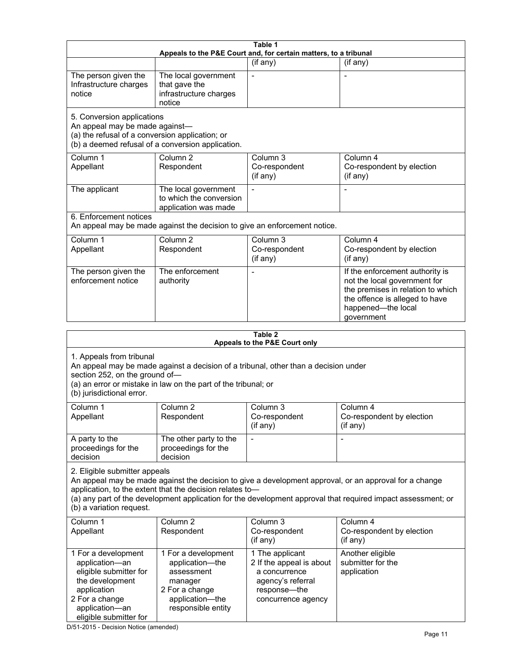| Table 1<br>Appeals to the P&E Court and, for certain matters, to a tribunal                                                                                                                                                                      |                                                                                                                            |                                                                                                                         |                                                                                                                                                                                                                        |
|--------------------------------------------------------------------------------------------------------------------------------------------------------------------------------------------------------------------------------------------------|----------------------------------------------------------------------------------------------------------------------------|-------------------------------------------------------------------------------------------------------------------------|------------------------------------------------------------------------------------------------------------------------------------------------------------------------------------------------------------------------|
|                                                                                                                                                                                                                                                  |                                                                                                                            | (if any)                                                                                                                | (if any)                                                                                                                                                                                                               |
| The person given the<br>Infrastructure charges<br>notice                                                                                                                                                                                         | The local government<br>that gave the<br>infrastructure charges<br>notice                                                  | $\blacksquare$                                                                                                          | $\overline{\phantom{a}}$                                                                                                                                                                                               |
| 5. Conversion applications<br>An appeal may be made against-<br>(a) the refusal of a conversion application; or                                                                                                                                  | (b) a deemed refusal of a conversion application.                                                                          |                                                                                                                         |                                                                                                                                                                                                                        |
| Column 1<br>Appellant                                                                                                                                                                                                                            | Column <sub>2</sub><br>Respondent                                                                                          | Column <sub>3</sub><br>Co-respondent<br>(if any)                                                                        | Column 4<br>Co-respondent by election<br>(if any)                                                                                                                                                                      |
| The applicant                                                                                                                                                                                                                                    | The local government<br>to which the conversion<br>application was made                                                    |                                                                                                                         |                                                                                                                                                                                                                        |
| 6. Enforcement notices                                                                                                                                                                                                                           | An appeal may be made against the decision to give an enforcement notice.                                                  |                                                                                                                         |                                                                                                                                                                                                                        |
| Column 1<br>Appellant                                                                                                                                                                                                                            | Column <sub>2</sub><br>Respondent                                                                                          | Column 3<br>Co-respondent<br>(if any)                                                                                   | Column 4<br>Co-respondent by election<br>(if any)                                                                                                                                                                      |
| The person given the<br>enforcement notice                                                                                                                                                                                                       | The enforcement<br>authority                                                                                               |                                                                                                                         | If the enforcement authority is<br>not the local government for<br>the premises in relation to which<br>the offence is alleged to have<br>happened-the local<br>government                                             |
|                                                                                                                                                                                                                                                  |                                                                                                                            | Table 2                                                                                                                 |                                                                                                                                                                                                                        |
|                                                                                                                                                                                                                                                  |                                                                                                                            | Appeals to the P&E Court only                                                                                           |                                                                                                                                                                                                                        |
| 1. Appeals from tribunal<br>An appeal may be made against a decision of a tribunal, other than a decision under<br>section 252, on the ground of-<br>(a) an error or mistake in law on the part of the tribunal; or<br>(b) jurisdictional error. |                                                                                                                            |                                                                                                                         |                                                                                                                                                                                                                        |
| Column 1<br>Appellant                                                                                                                                                                                                                            | Column 2<br>Respondent                                                                                                     | Column 3<br>Co-respondent<br>(if any)                                                                                   | Column 4<br>Co-respondent by election<br>(if any)                                                                                                                                                                      |
| A party to the<br>proceedings for the<br>decision                                                                                                                                                                                                | The other party to the<br>proceedings for the<br>decision                                                                  |                                                                                                                         |                                                                                                                                                                                                                        |
| 2. Eligible submitter appeals<br>(b) a variation request.                                                                                                                                                                                        | application, to the extent that the decision relates to-                                                                   |                                                                                                                         | An appeal may be made against the decision to give a development approval, or an approval for a change<br>(a) any part of the development application for the development approval that required impact assessment; or |
| Column 1<br>Appellant                                                                                                                                                                                                                            | Column <sub>2</sub><br>Respondent                                                                                          | Column 3<br>Co-respondent<br>(if any)                                                                                   | Column 4<br>Co-respondent by election<br>(if any)                                                                                                                                                                      |
| 1 For a development<br>application-an<br>eligible submitter for<br>the development<br>application<br>2 For a change<br>application-an<br>eligible submitter for                                                                                  | 1 For a development<br>application-the<br>assessment<br>manager<br>2 For a change<br>application-the<br>responsible entity | 1 The applicant<br>2 If the appeal is about<br>a concurrence<br>agency's referral<br>response-the<br>concurrence agency | Another eligible<br>submitter for the<br>application                                                                                                                                                                   |

D/51-2015 - Decision Notice (amended)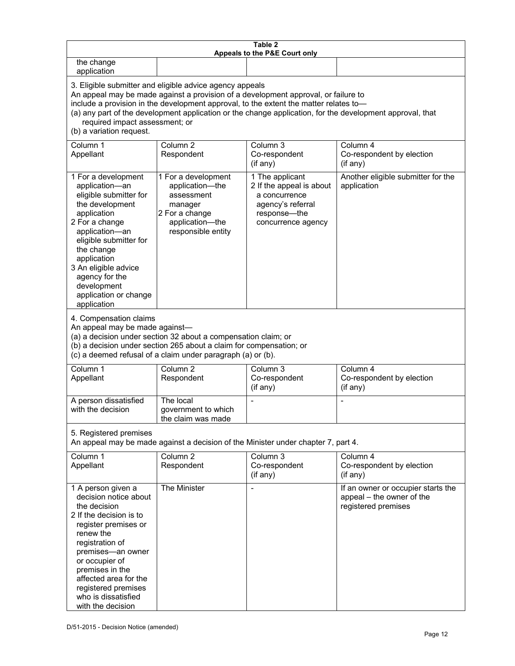| Table 2<br>Appeals to the P&E Court only                                                                                                                                                                                                                                                                                                                                                                           |                                                                                                                            |                                                                                                                         |                                                                                        |
|--------------------------------------------------------------------------------------------------------------------------------------------------------------------------------------------------------------------------------------------------------------------------------------------------------------------------------------------------------------------------------------------------------------------|----------------------------------------------------------------------------------------------------------------------------|-------------------------------------------------------------------------------------------------------------------------|----------------------------------------------------------------------------------------|
| the change<br>application                                                                                                                                                                                                                                                                                                                                                                                          |                                                                                                                            |                                                                                                                         |                                                                                        |
| 3. Eligible submitter and eligible advice agency appeals<br>An appeal may be made against a provision of a development approval, or failure to<br>include a provision in the development approval, to the extent the matter relates to-<br>(a) any part of the development application or the change application, for the development approval, that<br>required impact assessment; or<br>(b) a variation request. |                                                                                                                            |                                                                                                                         |                                                                                        |
| Column 1<br>Appellant                                                                                                                                                                                                                                                                                                                                                                                              | Column <sub>2</sub><br>Respondent                                                                                          | Column 3<br>Co-respondent<br>(if any)                                                                                   | Column 4<br>Co-respondent by election<br>(if any)                                      |
| 1 For a development<br>application-an<br>eligible submitter for<br>the development<br>application<br>2 For a change<br>application-an<br>eligible submitter for<br>the change<br>application<br>3 An eligible advice<br>agency for the<br>development<br>application or change<br>application                                                                                                                      | 1 For a development<br>application-the<br>assessment<br>manager<br>2 For a change<br>application-the<br>responsible entity | 1 The applicant<br>2 If the appeal is about<br>a concurrence<br>agency's referral<br>response-the<br>concurrence agency | Another eligible submitter for the<br>application                                      |
| 4. Compensation claims<br>An appeal may be made against-<br>(a) a decision under section 32 about a compensation claim; or<br>(b) a decision under section 265 about a claim for compensation; or<br>(c) a deemed refusal of a claim under paragraph (a) or (b).                                                                                                                                                   |                                                                                                                            |                                                                                                                         |                                                                                        |
| Column 1<br>Appellant                                                                                                                                                                                                                                                                                                                                                                                              | Column <sub>2</sub><br>Respondent                                                                                          | Column $3$<br>Co-respondent<br>(if any)                                                                                 | Column 4<br>Co-respondent by election<br>(if any)                                      |
| A person dissatisfied<br>with the decision                                                                                                                                                                                                                                                                                                                                                                         | The local<br>government to which<br>the claim was made                                                                     |                                                                                                                         |                                                                                        |
| 5. Registered premises<br>An appeal may be made against a decision of the Minister under chapter 7, part 4.                                                                                                                                                                                                                                                                                                        |                                                                                                                            |                                                                                                                         |                                                                                        |
| Column 1<br>Appellant                                                                                                                                                                                                                                                                                                                                                                                              | Column <sub>2</sub><br>Respondent                                                                                          | Column 3<br>Co-respondent<br>(if any)                                                                                   | Column 4<br>Co-respondent by election<br>(if any)                                      |
| 1 A person given a<br>decision notice about<br>the decision<br>2 If the decision is to<br>register premises or<br>renew the<br>registration of<br>premises-an owner<br>or occupier of<br>premises in the<br>affected area for the<br>registered premises<br>who is dissatisfied<br>with the decision                                                                                                               | The Minister                                                                                                               | $\blacksquare$                                                                                                          | If an owner or occupier starts the<br>appeal - the owner of the<br>registered premises |